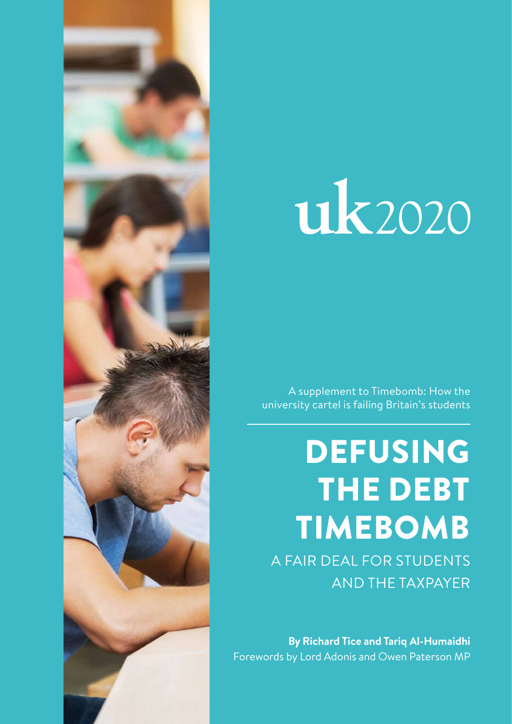

# uk2020

A supplement to Timebomb: How the university cartel is failing Britain's students

## DEFUSING THE DEBT TIMEBOMB

A FAIR DEAL FOR STUDENTS AND THE TAXPAYER

**By Richard Tice and Tariq Al-Humaidhi** Forewords by Lord Adonis and Owen Paterson MP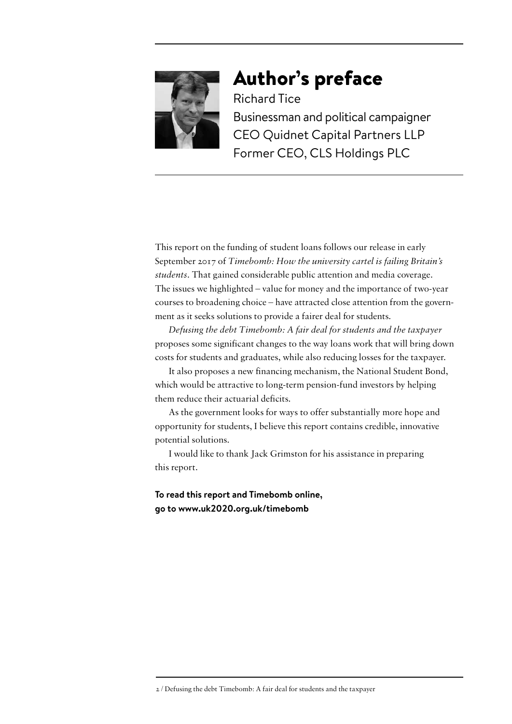

## Author's preface

Richard Tice Businessman and political campaigner CEO Quidnet Capital Partners LLP Former CEO, CLS Holdings PLC

This report on the funding of student loans follows our release in early September 2017 of *Timebomb: How the university cartel is failing Britain's students*. That gained considerable public attention and media coverage. The issues we highlighted – value for money and the importance of two-year courses to broadening choice – have attracted close attention from the government as it seeks solutions to provide a fairer deal for students.

*Defusing the debt Timebomb: A fair deal for students and the taxpayer*  proposes some significant changes to the way loans work that will bring down costs for students and graduates, while also reducing losses for the taxpayer.

It also proposes a new financing mechanism, the National Student Bond, which would be attractive to long-term pension-fund investors by helping them reduce their actuarial deficits.

As the government looks for ways to offer substantially more hope and opportunity for students, I believe this report contains credible, innovative potential solutions.

I would like to thank Jack Grimston for his assistance in preparing this report.

**To read this report and Timebomb online, go to [www.uk2020.org.uk/timebomb](http://www.uk2020.org.uk/timebomb)**

<sup>2 /</sup> Defusing the debt Timebomb: A fair deal for students and the taxpayer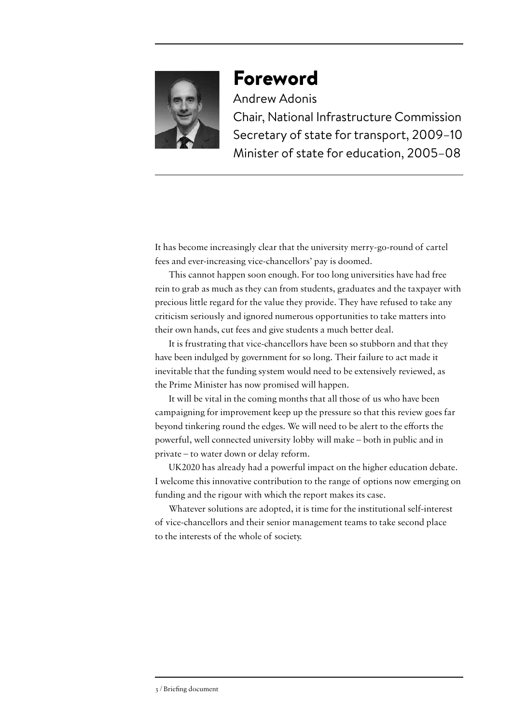

## Foreword

Andrew Adonis Chair, National Infrastructure Commission Secretary of state for transport, 2009–10 Minister of state for education, 2005–08

It has become increasingly clear that the university merry-go-round of cartel fees and ever-increasing vice-chancellors' pay is doomed.

This cannot happen soon enough. For too long universities have had free rein to grab as much as they can from students, graduates and the taxpayer with precious little regard for the value they provide. They have refused to take any criticism seriously and ignored numerous opportunities to take matters into their own hands, cut fees and give students a much better deal.

It is frustrating that vice-chancellors have been so stubborn and that they have been indulged by government for so long. Their failure to act made it inevitable that the funding system would need to be extensively reviewed, as the Prime Minister has now promised will happen.

It will be vital in the coming months that all those of us who have been campaigning for improvement keep up the pressure so that this review goes far beyond tinkering round the edges. We will need to be alert to the efforts the powerful, well connected university lobby will make – both in public and in private – to water down or delay reform.

UK2020 has already had a powerful impact on the higher education debate. I welcome this innovative contribution to the range of options now emerging on funding and the rigour with which the report makes its case.

Whatever solutions are adopted, it is time for the institutional self-interest of vice-chancellors and their senior management teams to take second place to the interests of the whole of society.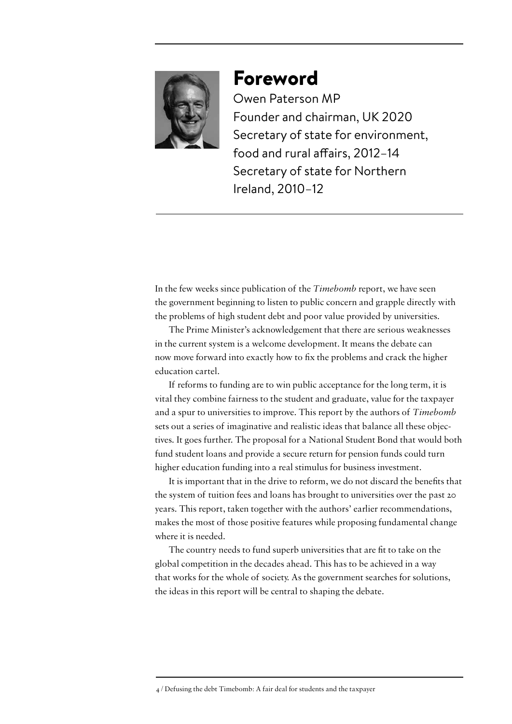

## Foreword

Owen Paterson MP Founder and chairman, UK 2020 Secretary of state for environment, food and rural affairs, 2012–14 Secretary of state for Northern Ireland, 2010–12

In the few weeks since publication of the *Timebomb* report, we have seen the government beginning to listen to public concern and grapple directly with the problems of high student debt and poor value provided by universities.

The Prime Minister's acknowledgement that there are serious weaknesses in the current system is a welcome development. It means the debate can now move forward into exactly how to fix the problems and crack the higher education cartel.

If reforms to funding are to win public acceptance for the long term, it is vital they combine fairness to the student and graduate, value for the taxpayer and a spur to universities to improve. This report by the authors of *Timebomb* sets out a series of imaginative and realistic ideas that balance all these objectives. It goes further. The proposal for a National Student Bond that would both fund student loans and provide a secure return for pension funds could turn higher education funding into a real stimulus for business investment.

It is important that in the drive to reform, we do not discard the benefits that the system of tuition fees and loans has brought to universities over the past 20 years. This report, taken together with the authors' earlier recommendations, makes the most of those positive features while proposing fundamental change where it is needed.

The country needs to fund superb universities that are fit to take on the global competition in the decades ahead. This has to be achieved in a way that works for the whole of society. As the government searches for solutions, the ideas in this report will be central to shaping the debate.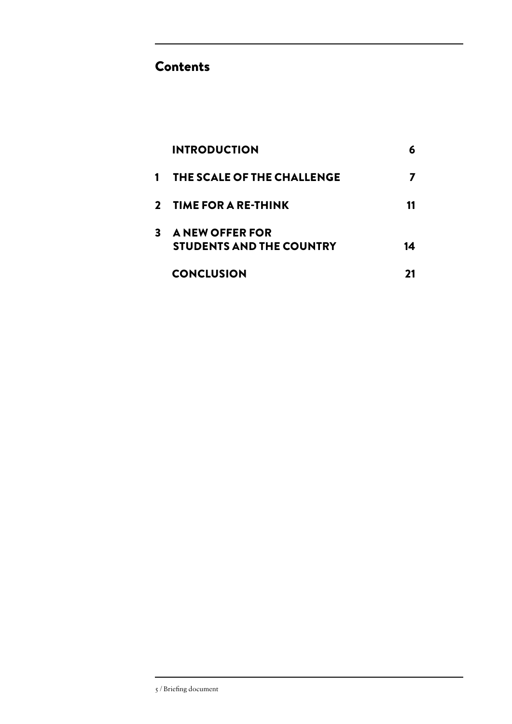### Contents

|   | <b>INTRODUCTION</b>                                       |    |
|---|-----------------------------------------------------------|----|
| 1 | THE SCALE OF THE CHALLENGE                                |    |
|   | 2 TIME FOR A RE-THINK                                     |    |
| 3 | <b>A NEW OFFER FOR</b><br><b>STUDENTS AND THE COUNTRY</b> | 14 |
|   | <b>CONCLUSION</b>                                         |    |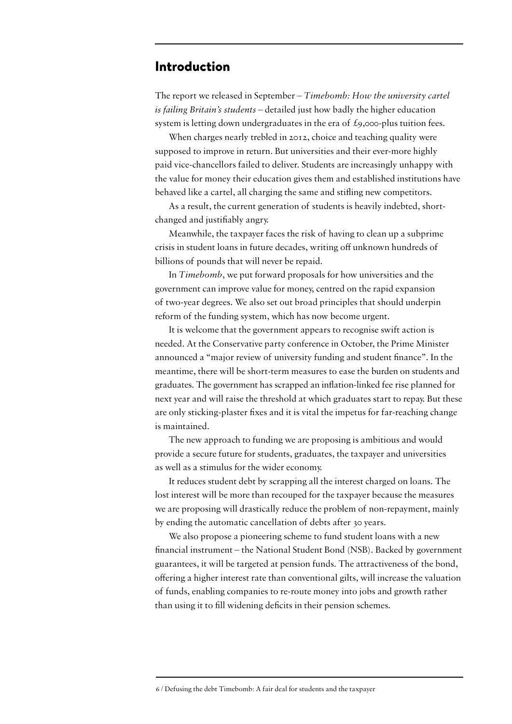#### Introduction

The report we released in September – *Timebomb: How the university cartel is failing Britain's students* – detailed just how badly the higher education system is letting down undergraduates in the era of  $\mathcal{L}_{9,000}$ -plus tuition fees.

When charges nearly trebled in 2012, choice and teaching quality were supposed to improve in return. But universities and their ever-more highly paid vice-chancellors failed to deliver. Students are increasingly unhappy with the value for money their education gives them and established institutions have behaved like a cartel, all charging the same and stifling new competitors.

As a result, the current generation of students is heavily indebted, shortchanged and justifiably angry.

Meanwhile, the taxpayer faces the risk of having to clean up a subprime crisis in student loans in future decades, writing off unknown hundreds of billions of pounds that will never be repaid.

In *Timebomb*, we put forward proposals for how universities and the government can improve value for money, centred on the rapid expansion of two-year degrees. We also set out broad principles that should underpin reform of the funding system, which has now become urgent.

It is welcome that the government appears to recognise swift action is needed. At the Conservative party conference in October, the Prime Minister announced a "major review of university funding and student finance". In the meantime, there will be short-term measures to ease the burden on students and graduates. The government has scrapped an inflation-linked fee rise planned for next year and will raise the threshold at which graduates start to repay. But these are only sticking-plaster fixes and it is vital the impetus for far-reaching change is maintained.

The new approach to funding we are proposing is ambitious and would provide a secure future for students, graduates, the taxpayer and universities as well as a stimulus for the wider economy.

It reduces student debt by scrapping all the interest charged on loans. The lost interest will be more than recouped for the taxpayer because the measures we are proposing will drastically reduce the problem of non-repayment, mainly by ending the automatic cancellation of debts after 30 years.

We also propose a pioneering scheme to fund student loans with a new financial instrument – the National Student Bond (NSB). Backed by government guarantees, it will be targeted at pension funds. The attractiveness of the bond, offering a higher interest rate than conventional gilts, will increase the valuation of funds, enabling companies to re-route money into jobs and growth rather than using it to fill widening deficits in their pension schemes.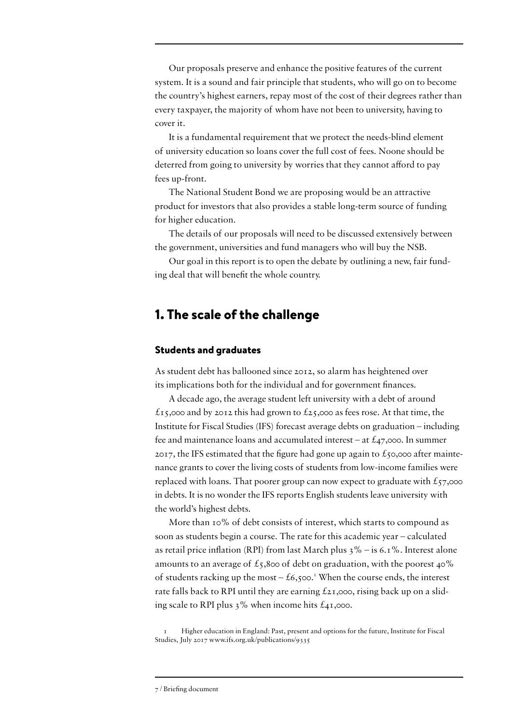Our proposals preserve and enhance the positive features of the current system. It is a sound and fair principle that students, who will go on to become the country's highest earners, repay most of the cost of their degrees rather than every taxpayer, the majority of whom have not been to university, having to cover it.

It is a fundamental requirement that we protect the needs-blind element of university education so loans cover the full cost of fees. Noone should be deterred from going to university by worries that they cannot afford to pay fees up-front.

The National Student Bond we are proposing would be an attractive product for investors that also provides a stable long-term source of funding for higher education.

The details of our proposals will need to be discussed extensively between the government, universities and fund managers who will buy the NSB.

Our goal in this report is to open the debate by outlining a new, fair funding deal that will benefit the whole country.

#### 1. The scale of the challenge

#### Students and graduates

As student debt has ballooned since 2012, so alarm has heightened over its implications both for the individual and for government finances.

A decade ago, the average student left university with a debt of around  $\pounds$ 15,000 and by 2012 this had grown to  $\pounds$ 25,000 as fees rose. At that time, the Institute for Fiscal Studies (IFS) forecast average debts on graduation – including fee and maintenance loans and accumulated interest – at  $\mathcal{L}_4$ 7,000. In summer 2017, the IFS estimated that the figure had gone up again to  $\hat{\epsilon}$ 50,000 after maintenance grants to cover the living costs of students from low-income families were replaced with loans. That poorer group can now expect to graduate with  $\pounds$ 57,000 in debts. It is no wonder the IFS reports English students leave university with the world's highest debts.

More than 10% of debt consists of interest, which starts to compound as soon as students begin a course. The rate for this academic year – calculated as retail price inflation (RPI) from last March plus  $3\%$  – is 6.1%. Interest alone amounts to an average of  $\pounds$ 5,800 of debt on graduation, with the poorest 40% of students racking up the most  $- f6,500$ . When the course ends, the interest rate falls back to RPI until they are earning  $f_{2I,000}$ , rising back up on a sliding scale to RPI plus  $3\%$  when income hits  $\mathcal{L}_{41,000}$ .

1 Higher education in England: Past, present and options for the future, Institute for Fiscal Studies, July 2017 [www.ifs.org.uk/publications/9335](https://www.ifs.org.uk/publications/9335)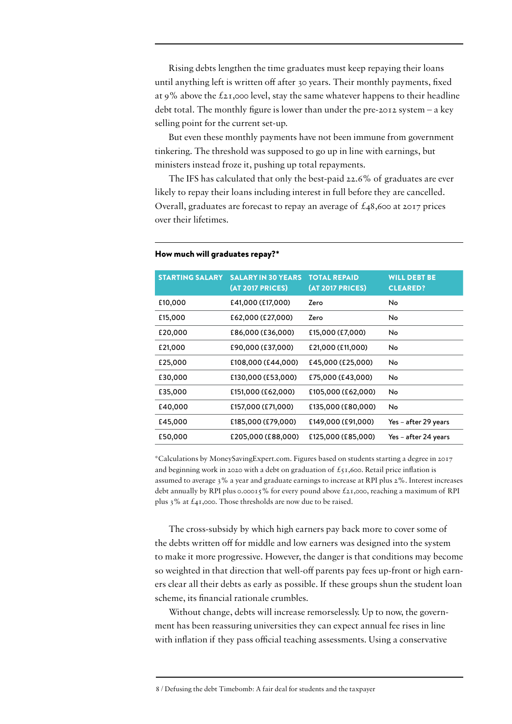Rising debts lengthen the time graduates must keep repaying their loans until anything left is written off after 30 years. Their monthly payments, fixed at 9% above the  $\ell_{2I}$ ,000 level, stay the same whatever happens to their headline debt total. The monthly figure is lower than under the pre-2012 system – a key selling point for the current set-up.

But even these monthly payments have not been immune from government tinkering. The threshold was supposed to go up in line with earnings, but ministers instead froze it, pushing up total repayments.

The IFS has calculated that only the best-paid 22.6% of graduates are ever likely to repay their loans including interest in full before they are cancelled. Overall, graduates are forecast to repay an average of  $\text{\pounds}_{48,600}$  at 2017 prices over their lifetimes.

| <b>STARTING SALARY</b> | <b>SALARY IN 30 YEARS</b><br><b>(AT 2017 PRICES)</b> | <b>TOTAL REPAID</b><br><b>(AT 2017 PRICES)</b> | <b>WILL DEBT BE</b><br><b>CLEARED?</b> |
|------------------------|------------------------------------------------------|------------------------------------------------|----------------------------------------|
| £10,000                | £41,000 (£17,000)                                    | Zero                                           | No                                     |
| £15,000                | £62,000 (£27,000)                                    | Zero                                           | No                                     |
| £20,000                | £86,000 (£36,000)                                    | £15,000 (£7,000)                               | No                                     |
| £21,000                | £90,000 (£37,000)                                    | £21,000 (£11,000)                              | No                                     |
| £25,000                | £108,000 (£44,000)                                   | £45,000 (£25,000)                              | No                                     |
| £30,000                | £130,000 (£53,000)                                   | £75,000 (£43,000)                              | No                                     |
| £35,000                | £151,000 (£62,000)                                   | £105,000 (£62,000)                             | No                                     |
| £40,000                | £157,000 (£71,000)                                   | £135,000 (£80,000)                             | No                                     |
| £45,000                | £185,000 (£79,000)                                   | £149,000 (£91,000)                             | Yes - after 29 years                   |
| £50,000                | £205,000 (£88,000)                                   | £125,000 (£85,000)                             | Yes – after 24 years                   |

#### How much will graduates repay?\*

\*Calculations by [MoneySavingExpert.com](http://MoneySavingExpert.com). Figures based on students starting a degree in 2017 and beginning work in 2020 with a debt on graduation of  $f_{51}$ ,600. Retail price inflation is assumed to average 3% a year and graduate earnings to increase at RPI plus 2%. Interest increases debt annually by RPI plus 0.00015% for every pound above  $\ell_{2I}$ ,000, reaching a maximum of RPI plus 3% at £41,000. Those thresholds are now due to be raised.

The cross-subsidy by which high earners pay back more to cover some of the debts written off for middle and low earners was designed into the system to make it more progressive. However, the danger is that conditions may become so weighted in that direction that well-off parents pay fees up-front or high earners clear all their debts as early as possible. If these groups shun the student loan scheme, its financial rationale crumbles.

Without change, debts will increase remorselessly. Up to now, the government has been reassuring universities they can expect annual fee rises in line with inflation if they pass official teaching assessments. Using a conservative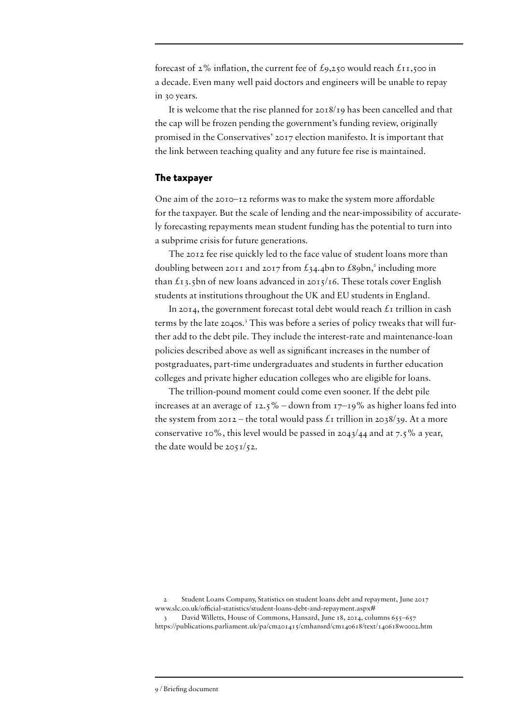forecast of 2% inflation, the current fee of £9,250 would reach £11,500 in a decade. Even many well paid doctors and engineers will be unable to repay in 30 years.

It is welcome that the rise planned for 2018/19 has been cancelled and that the cap will be frozen pending the government's funding review, originally promised in the Conservatives' 2017 election manifesto. It is important that the link between teaching quality and any future fee rise is maintained.

#### The taxpayer

One aim of the 2010–12 reforms was to make the system more affordable for the taxpayer. But the scale of lending and the near-impossibility of accurately forecasting repayments mean student funding has the potential to turn into a subprime crisis for future generations.

The 2012 fee rise quickly led to the face value of student loans more than doubling between 2011 and 2017 from  $\pounds$ 34.4bn to  $\pounds$ 89bn,<sup>2</sup> including more than  $\pounds$ 13.5bn of new loans advanced in 2015/16. These totals cover English students at institutions throughout the UK and EU students in England.

In 2014, the government forecast total debt would reach  $\mathcal{L}_1$  trillion in cash terms by the late 2040s.<sup>3</sup> This was before a series of policy tweaks that will further add to the debt pile. They include the interest-rate and maintenance-loan policies described above as well as significant increases in the number of postgraduates, part-time undergraduates and students in further education colleges and private higher education colleges who are eligible for loans.

The trillion-pound moment could come even sooner. If the debt pile increases at an average of  $12.5\%$  – down from  $17-19\%$  as higher loans fed into the system from  $20I2$  – the total would pass  $\mathcal{L}$  trillion in 2038/39. At a more conservative 10%, this level would be passed in  $2043/44$  and at 7.5% a year, the date would be 2051/52.

2 Student Loans Company, Statistics on student loans debt and repayment, June 2017 [www.slc.co.uk/official-statistics/student-loans-debt-and-repayment.aspx](http://www.slc.co.uk/official-statistics/student-loans-debt-and-repayment.aspx)#

David Willetts, House of Commons, Hansard, June 18, 2014, columns 655–657 <https://publications.parliament.uk/pa/cm201415/cmhansrd/cm140618/text/140618w0002.htm>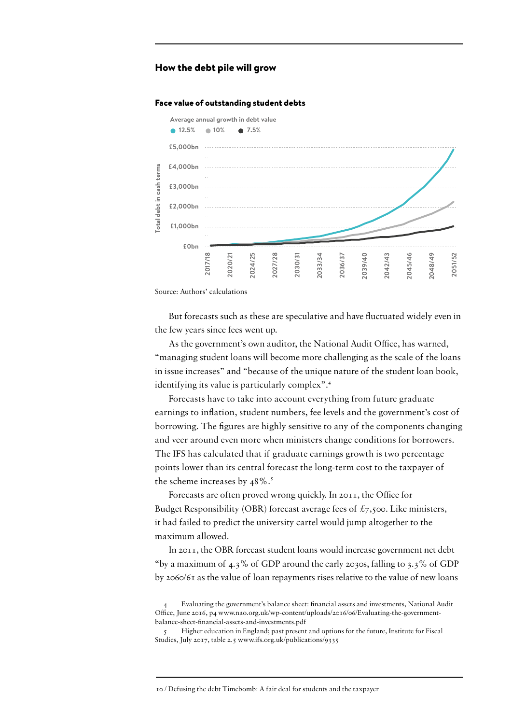#### How the debt pile will grow

#### Face value of outstanding student debts



Source: Authors' calculations

But forecasts such as these are speculative and have fluctuated widely even in the few years since fees went up.

As the government's own auditor, the National Audit Office, has warned, "managing student loans will become more challenging as the scale of the loans in issue increases" and "because of the unique nature of the student loan book, identifying its value is particularly complex".<sup>4</sup>

Forecasts have to take into account everything from future graduate earnings to inflation, student numbers, fee levels and the government's cost of borrowing. The figures are highly sensitive to any of the components changing and veer around even more when ministers change conditions for borrowers. The IFS has calculated that if graduate earnings growth is two percentage points lower than its central forecast the long-term cost to the taxpayer of the scheme increases by  $48\%$ .<sup>5</sup>

Forecasts are often proved wrong quickly. In 2011, the Office for Budget Responsibility (OBR) forecast average fees of  $\pounds$ 7,500. Like ministers, it had failed to predict the university cartel would jump altogether to the maximum allowed.

In 2011, the OBR forecast student loans would increase government net debt "by a maximum of 4.3% of GDP around the early 2030s, falling to 3.3% of GDP by 2060/61 as the value of loan repayments rises relative to the value of new loans

<sup>4</sup> Evaluating the government's balance sheet: financial assets and investments, National Audit Office, June 2016, p4 [www.nao.org.uk/wp-content/uploads/2016/06/Evaluating-the-government](http://www.nao.org.uk/wp-content/uploads/2016/06/Evaluating-the-government-balance-sheet-financial-assets-and-investments.pdf)[balance-sheet-financial-assets-and-investments.pdf](http://www.nao.org.uk/wp-content/uploads/2016/06/Evaluating-the-government-balance-sheet-financial-assets-and-investments.pdf)

<sup>5</sup> Higher education in England; past present and options for the future, Institute for Fiscal Studies, July 2017, table 2.5 [www.ifs.org.uk/publications/9335](https://www.ifs.org.uk/publications/9335)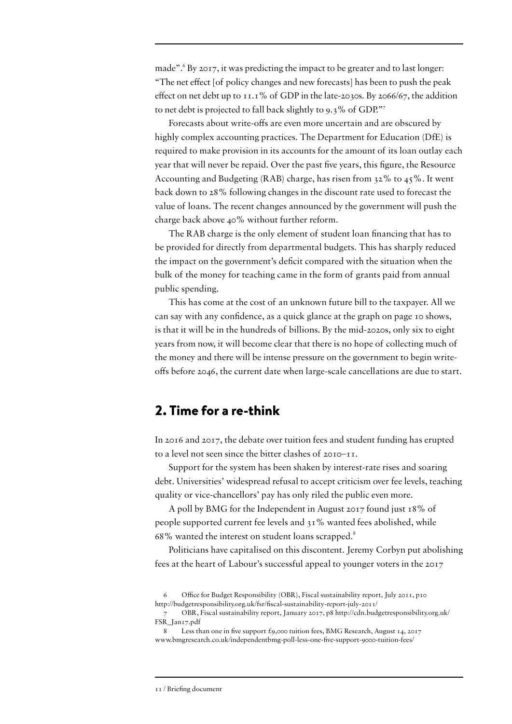made".<sup>6</sup> By 2017, it was predicting the impact to be greater and to last longer: "The net effect [of policy changes and new forecasts] has been to push the peak effect on net debt up to 11.1% of GDP in the late-2030s. By 2066/67, the addition to net debt is projected to fall back slightly to 9.3% of GDP."7

Forecasts about write-offs are even more uncertain and are obscured by highly complex accounting practices. The Department for Education (DfE) is required to make provision in its accounts for the amount of its loan outlay each year that will never be repaid. Over the past five years, this figure, the Resource Accounting and Budgeting (RAB) charge, has risen from  $32\%$  to  $45\%$ . It went back down to 28% following changes in the discount rate used to forecast the value of loans. The recent changes announced by the government will push the charge back above 40% without further reform.

The RAB charge is the only element of student loan financing that has to be provided for directly from departmental budgets. This has sharply reduced the impact on the government's deficit compared with the situation when the bulk of the money for teaching came in the form of grants paid from annual public spending.

This has come at the cost of an unknown future bill to the taxpayer. All we can say with any confidence, as a quick glance at the graph on page 10 shows, is that it will be in the hundreds of billions. By the mid-2020s, only six to eight years from now, it will become clear that there is no hope of collecting much of the money and there will be intense pressure on the government to begin writeoffs before 2046, the current date when large-scale cancellations are due to start.

#### 2. Time for a re-think

In 2016 and 2017, the debate over tuition fees and student funding has erupted to a level not seen since the bitter clashes of 2010–11.

Support for the system has been shaken by interest-rate rises and soaring debt. Universities' widespread refusal to accept criticism over fee levels, teaching quality or vice-chancellors' pay has only riled the public even more.

A poll by BMG for the Independent in August 2017 found just 18% of people supported current fee levels and 31% wanted fees abolished, while 68% wanted the interest on student loans scrapped.8

Politicians have capitalised on this discontent. Jeremy Corbyn put abolishing fees at the heart of Labour's successful appeal to younger voters in the 2017

<sup>6</sup> Office for Budget Responsibility (OBR), Fiscal sustainability report, July 2011, p10 [http://budgetresponsibility.org.uk/fsr/fiscal-](http://budgetresponsibility.org.uk/fsr/fiscal)sustainability-report-july-2011/

<sup>7</sup> OBR, Fiscal sustainability report, January 2017, p8 [http://cdn.budgetresponsibility.org.uk/](http://cdn.budgetresponsibility.org.uk/FSR_Jan17.pdf) [FSR\\_Jan17.pdf](http://cdn.budgetresponsibility.org.uk/FSR_Jan17.pdf)

<sup>8</sup> Less than one in five support £9,000 tuition fees, BMG Research, August 14, 2017 [www.bmgresearch.co.uk/independentbmg-](http://www.bmgresearch.co.uk/independentbmg)poll-less-one-five-support-9000-tuition-fees/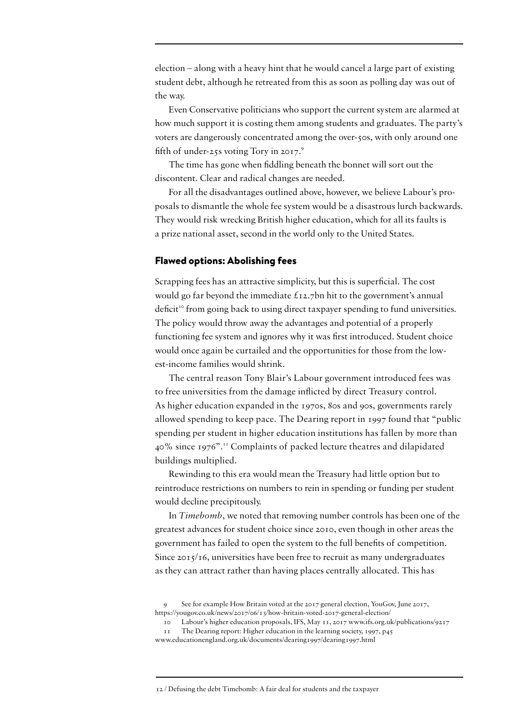election – along with a heavy hint that he would cancel a large part of existing student debt, although he retreated from this as soon as polling day was out of the way.

Even Conservative politicians who support the current system are alarmed at how much support it is costing them among students and graduates. The party's voters are dangerously concentrated among the over-50s, with only around one fifth of under-25s voting Tory in  $2017$ .<sup>9</sup>

The time has gone when fiddling beneath the bonnet will sort out the discontent. Clear and radical changes are needed.

For all the disadvantages outlined above, however, we believe Labour's proposals to dismantle the whole fee system would be a disastrous lurch backwards. They would risk wrecking British higher education, which for all its faults is a prize national asset, second in the world only to the United States.

#### Flawed options: Abolishing fees

Scrapping fees has an attractive simplicity, but this is superficial. The cost would go far beyond the immediate £12.7bn hit to the government's annual deficit<sup>10</sup> from going back to using direct taxpayer spending to fund universities. The policy would throw away the advantages and potential of a properly functioning fee system and ignores why it was first introduced. Student choice would once again be curtailed and the opportunities for those from the lowest-income families would shrink.

The central reason Tony Blair's Labour government introduced fees was to free universities from the damage inflicted by direct Treasury control. As higher education expanded in the 1970s, 80s and 90s, governments rarely allowed spending to keep pace. The Dearing report in 1997 found that "public spending per student in higher education institutions has fallen by more than 40% since 1976".11 Complaints of packed lecture theatres and dilapidated buildings multiplied.

Rewinding to this era would mean the Treasury had little option but to reintroduce restrictions on numbers to rein in spending or funding per student would decline precipitously.

In *Timebomb*, we noted that removing number controls has been one of the greatest advances for student choice since 2010, even though in other areas the government has failed to open the system to the full benefits of competition. Since 2015/16, universities have been free to recruit as many undergraduates as they can attract rather than having places centrally allocated. This has

<sup>9</sup> See for example How Britain voted at the 2017 general election, YouGov, June 2017, [https://yougov.co.uk/news/2017/06/13/how-](https://yougov.co.uk/news/2017/06/13/how-britain-voted-2017-general-election/)britain-voted-2017-general-election/

<sup>10</sup> Labour's higher education proposals, IFS, May 11, 2017 [www.ifs.org.uk/publications/](http://www.ifs.org.uk/publications)9217

<sup>11</sup> The Dearing report: Higher education in the learning society, 1997, p45 [www.educationengland.org.uk/documents/dearing1997/dearing1997.html](http://www.educationengland.org.uk/documents/dearing1997/dearing1997.html)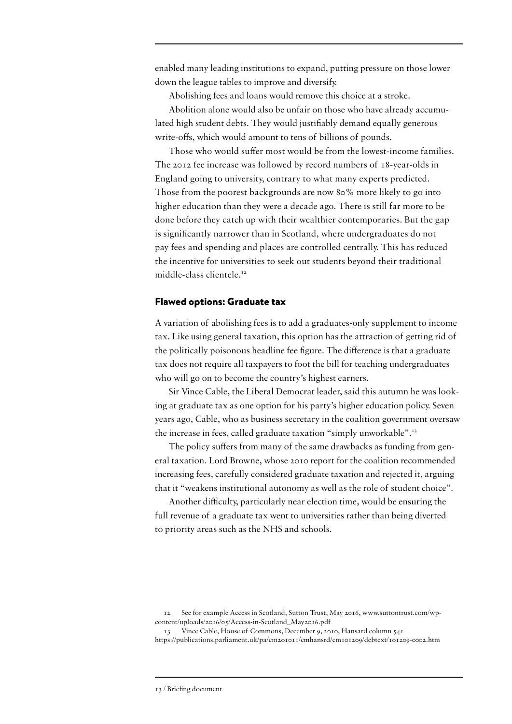enabled many leading institutions to expand, putting pressure on those lower down the league tables to improve and diversify.

Abolishing fees and loans would remove this choice at a stroke. Abolition alone would also be unfair on those who have already accumulated high student debts. They would justifiably demand equally generous write-offs, which would amount to tens of billions of pounds.

Those who would suffer most would be from the lowest-income families. The 2012 fee increase was followed by record numbers of 18-year-olds in England going to university, contrary to what many experts predicted. Those from the poorest backgrounds are now 80% more likely to go into higher education than they were a decade ago. There is still far more to be done before they catch up with their wealthier contemporaries. But the gap is significantly narrower than in Scotland, where undergraduates do not pay fees and spending and places are controlled centrally. This has reduced the incentive for universities to seek out students beyond their traditional middle-class clientele.<sup>12</sup>

#### Flawed options: Graduate tax

A variation of abolishing fees is to add a graduates-only supplement to income tax. Like using general taxation, this option has the attraction of getting rid of the politically poisonous headline fee figure. The difference is that a graduate tax does not require all taxpayers to foot the bill for teaching undergraduates who will go on to become the country's highest earners.

Sir Vince Cable, the Liberal Democrat leader, said this autumn he was looking at graduate tax as one option for his party's higher education policy. Seven years ago, Cable, who as business secretary in the coalition government oversaw the increase in fees, called graduate taxation "simply unworkable".<sup>13</sup>

The policy suffers from many of the same drawbacks as funding from general taxation. Lord Browne, whose 2010 report for the coalition recommended increasing fees, carefully considered graduate taxation and rejected it, arguing that it "weakens institutional autonomy as well as the role of student choice".

Another difficulty, particularly near election time, would be ensuring the full revenue of a graduate tax went to universities rather than being diverted to priority areas such as the NHS and schools.

<sup>12</sup> See for example Access in Scotland, Sutton Trust, May 2016, [www.suttontrust.com/wp](http://www.suttontrust.com/wp-content/uploads/2016/05/Access-in-Scotland_May2016.pdf)[content/uploads/2016/05/Access-in-Scotland\\_May2016.pdf](http://www.suttontrust.com/wp-content/uploads/2016/05/Access-in-Scotland_May2016.pdf)

<sup>13</sup> Vince Cable, House of Commons, December 9, 2010, Hansard column 541 <https://publications.parliament.uk/pa/cm201011/cmhansrd/cm101209/debtext/101209-0002.htm>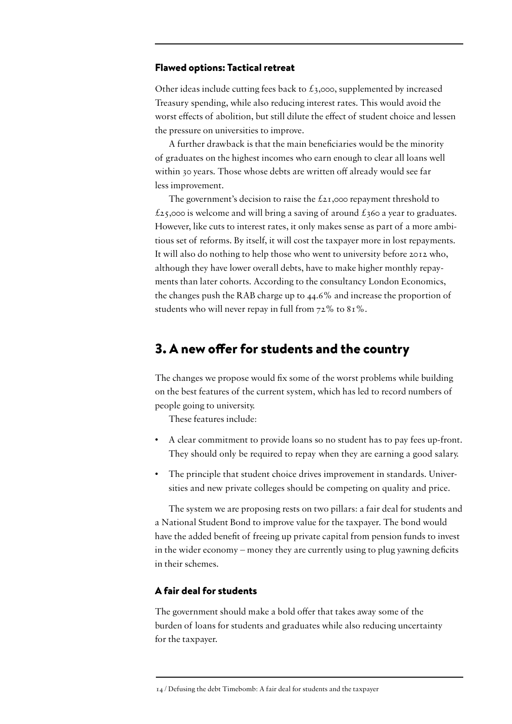#### Flawed options: Tactical retreat

Other ideas include cutting fees back to  $\pounds$ 3,000, supplemented by increased Treasury spending, while also reducing interest rates. This would avoid the worst effects of abolition, but still dilute the effect of student choice and lessen the pressure on universities to improve.

A further drawback is that the main beneficiaries would be the minority of graduates on the highest incomes who earn enough to clear all loans well within 30 years. Those whose debts are written off already would see far less improvement.

The government's decision to raise the  $\text{\pounds}_{21,000}$  repayment threshold to  $£25,000$  is welcome and will bring a saving of around  $£360$  a year to graduates. However, like cuts to interest rates, it only makes sense as part of a more ambitious set of reforms. By itself, it will cost the taxpayer more in lost repayments. It will also do nothing to help those who went to university before 2012 who, although they have lower overall debts, have to make higher monthly repayments than later cohorts. According to the consultancy London Economics, the changes push the RAB charge up to 44.6% and increase the proportion of students who will never repay in full from 72% to 81%.

#### 3. A new offer for students and the country

The changes we propose would fix some of the worst problems while building on the best features of the current system, which has led to record numbers of people going to university.

These features include:

- A clear commitment to provide loans so no student has to pay fees up-front. They should only be required to repay when they are earning a good salary.
- The principle that student choice drives improvement in standards. Universities and new private colleges should be competing on quality and price.

The system we are proposing rests on two pillars: a fair deal for students and a National Student Bond to improve value for the taxpayer. The bond would have the added benefit of freeing up private capital from pension funds to invest in the wider economy – money they are currently using to plug yawning deficits in their schemes.

#### A fair deal for students

The government should make a bold offer that takes away some of the burden of loans for students and graduates while also reducing uncertainty for the taxpayer.

<sup>14 /</sup> Defusing the debt Timebomb: A fair deal for students and the taxpayer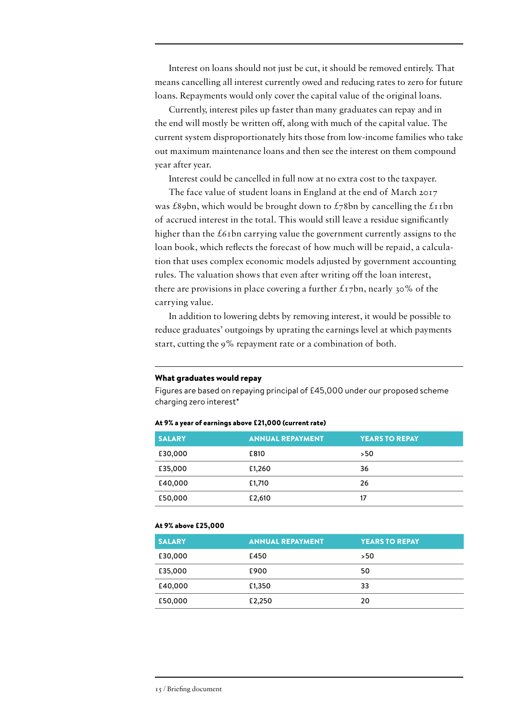Interest on loans should not just be cut, it should be removed entirely. That means cancelling all interest currently owed and reducing rates to zero for future loans. Repayments would only cover the capital value of the original loans.

Currently, interest piles up faster than many graduates can repay and in the end will mostly be written off, along with much of the capital value. The current system disproportionately hits those from low-income families who take out maximum maintenance loans and then see the interest on them compound year after year.

Interest could be cancelled in full now at no extra cost to the taxpayer.

The face value of student loans in England at the end of March 2017 was £89bn, which would be brought down to  $\pounds$ 78bn by cancelling the £11bn of accrued interest in the total. This would still leave a residue significantly higher than the  $\epsilon$ 61bn carrying value the government currently assigns to the loan book, which reflects the forecast of how much will be repaid, a calculation that uses complex economic models adjusted by government accounting rules. The valuation shows that even after writing off the loan interest, there are provisions in place covering a further  $\pounds$ 17bn, nearly 30% of the carrying value.

In addition to lowering debts by removing interest, it would be possible to reduce graduates' outgoings by uprating the earnings level at which payments start, cutting the 9% repayment rate or a combination of both.

#### What graduates would repay

Figures are based on repaying principal of £45,000 under our proposed scheme charging zero interest\*

#### At 9% a year of earnings above £21,000 (current rate)

| <b>SALARY</b> | <b>ANNUAL REPAYMENT</b> | <b>YEARS TO REPAY</b> |
|---------------|-------------------------|-----------------------|
| £30,000       | £810                    | >50                   |
| £35,000       | £1,260                  | 36                    |
| £40,000       | £1,710                  | 26                    |
| £50,000       | £2,610                  | 17                    |

#### At 9% above £25,000

| <b>SALARY</b> | <b>ANNUAL REPAYMENT</b> | <b>YEARS TO REPAY</b> |
|---------------|-------------------------|-----------------------|
| £30,000       | £450                    | >50                   |
| £35,000       | £900                    | 50                    |
| £40,000       | £1,350                  | 33                    |
| £50,000       | £2,250                  | 20                    |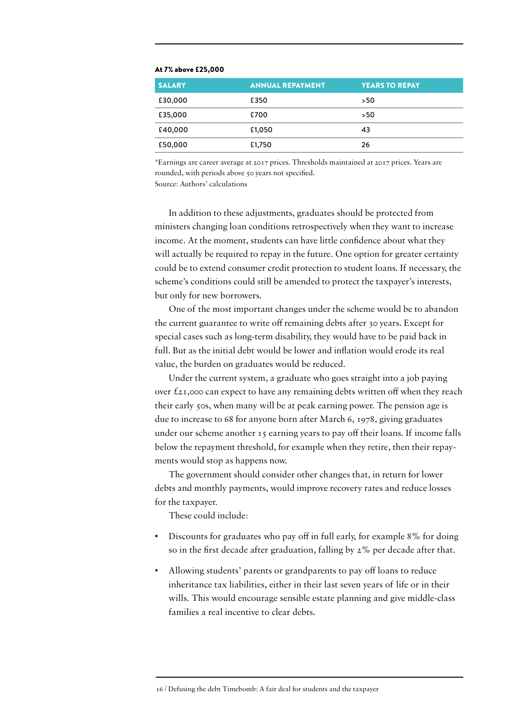| <b>SALARY</b> | <b>ANNUAL REPAYMENT</b> | <b>YEARS TO REPAY</b> |
|---------------|-------------------------|-----------------------|
| £30,000       | £350                    | >50                   |
| £35,000       | £700                    | >50                   |
| £40,000       | £1,050                  | 43                    |
| £50,000       | £1,750                  | 26                    |

#### At 7% above £25,000

\*Earnings are career average at 2017 prices. Thresholds maintained at 2017 prices. Years are rounded, with periods above 50 years not specified.

Source: Authors' calculations

In addition to these adjustments, graduates should be protected from ministers changing loan conditions retrospectively when they want to increase income. At the moment, students can have little confidence about what they will actually be required to repay in the future. One option for greater certainty could be to extend consumer credit protection to student loans. If necessary, the scheme's conditions could still be amended to protect the taxpayer's interests, but only for new borrowers.

One of the most important changes under the scheme would be to abandon the current guarantee to write off remaining debts after 30 years. Except for special cases such as long-term disability, they would have to be paid back in full. But as the initial debt would be lower and inflation would erode its real value, the burden on graduates would be reduced.

Under the current system, a graduate who goes straight into a job paying over  $\ell_{21,000}$  can expect to have any remaining debts written off when they reach their early 50s, when many will be at peak earning power. The pension age is due to increase to 68 for anyone born after March 6, 1978, giving graduates under our scheme another 15 earning years to pay off their loans. If income falls below the repayment threshold, for example when they retire, then their repayments would stop as happens now.

The government should consider other changes that, in return for lower debts and monthly payments, would improve recovery rates and reduce losses for the taxpayer.

These could include:

- Discounts for graduates who pay off in full early, for example 8% for doing so in the first decade after graduation, falling by 2% per decade after that.
- Allowing students' parents or grandparents to pay off loans to reduce inheritance tax liabilities, either in their last seven years of life or in their wills. This would encourage sensible estate planning and give middle-class families a real incentive to clear debts.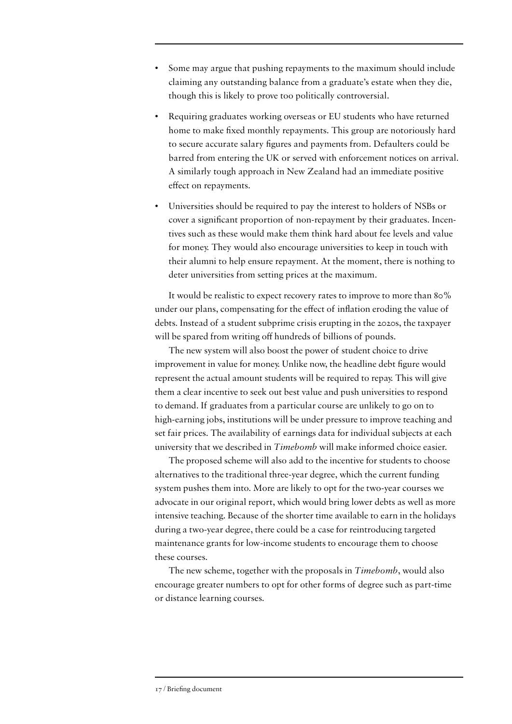- Some may argue that pushing repayments to the maximum should include claiming any outstanding balance from a graduate's estate when they die, though this is likely to prove too politically controversial.
- Requiring graduates working overseas or EU students who have returned home to make fixed monthly repayments. This group are notoriously hard to secure accurate salary figures and payments from. Defaulters could be barred from entering the UK or served with enforcement notices on arrival. A similarly tough approach in New Zealand had an immediate positive effect on repayments.
- Universities should be required to pay the interest to holders of NSBs or cover a significant proportion of non-repayment by their graduates. Incentives such as these would make them think hard about fee levels and value for money. They would also encourage universities to keep in touch with their alumni to help ensure repayment. At the moment, there is nothing to deter universities from setting prices at the maximum.

It would be realistic to expect recovery rates to improve to more than 80% under our plans, compensating for the effect of inflation eroding the value of debts. Instead of a student subprime crisis erupting in the 2020s, the taxpayer will be spared from writing off hundreds of billions of pounds.

The new system will also boost the power of student choice to drive improvement in value for money. Unlike now, the headline debt figure would represent the actual amount students will be required to repay. This will give them a clear incentive to seek out best value and push universities to respond to demand. If graduates from a particular course are unlikely to go on to high-earning jobs, institutions will be under pressure to improve teaching and set fair prices. The availability of earnings data for individual subjects at each university that we described in *Timebomb* will make informed choice easier.

The proposed scheme will also add to the incentive for students to choose alternatives to the traditional three-year degree, which the current funding system pushes them into. More are likely to opt for the two-year courses we advocate in our original report, which would bring lower debts as well as more intensive teaching. Because of the shorter time available to earn in the holidays during a two-year degree, there could be a case for reintroducing targeted maintenance grants for low-income students to encourage them to choose these courses.

The new scheme, together with the proposals in *Timebomb*, would also encourage greater numbers to opt for other forms of degree such as part-time or distance learning courses.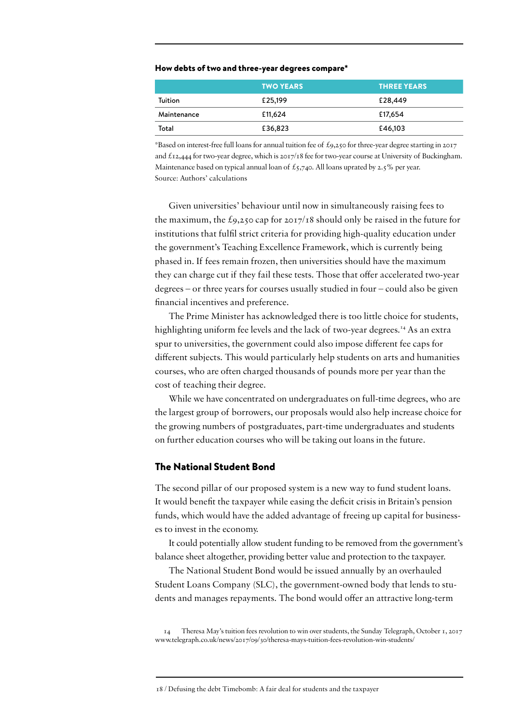#### How debts of two and three-year degrees compare\*

|             | <b>TWO YEARS</b> | <b>THREE YEARS</b> |
|-------------|------------------|--------------------|
| Tuition     | £25,199          | £28,449            |
| Maintenance | £11,624          | £17,654            |
| Total       | £36,823          | £46,103            |

\*Based on interest-free full loans for annual tuition fee of £9,250 for three-year degree starting in 2017 and £12,444 for two-year degree, which is 2017/18 fee for two-year course at University of Buckingham. Maintenance based on typical annual loan of  $\pounds$ 5,740. All loans uprated by 2.5% per year. Source: Authors' calculations

Given universities' behaviour until now in simultaneously raising fees to the maximum, the  $\text{\pounds}_{9,250}$  cap for 2017/18 should only be raised in the future for institutions that fulfil strict criteria for providing high-quality education under the government's Teaching Excellence Framework, which is currently being phased in. If fees remain frozen, then universities should have the maximum they can charge cut if they fail these tests. Those that offer accelerated two-year degrees – or three years for courses usually studied in four – could also be given financial incentives and preference.

The Prime Minister has acknowledged there is too little choice for students, highlighting uniform fee levels and the lack of two-year degrees.<sup>14</sup> As an extra spur to universities, the government could also impose different fee caps for different subjects. This would particularly help students on arts and humanities courses, who are often charged thousands of pounds more per year than the cost of teaching their degree.

While we have concentrated on undergraduates on full-time degrees, who are the largest group of borrowers, our proposals would also help increase choice for the growing numbers of postgraduates, part-time undergraduates and students on further education courses who will be taking out loans in the future.

#### The National Student Bond

The second pillar of our proposed system is a new way to fund student loans. It would benefit the taxpayer while easing the deficit crisis in Britain's pension funds, which would have the added advantage of freeing up capital for businesses to invest in the economy.

It could potentially allow student funding to be removed from the government's balance sheet altogether, providing better value and protection to the taxpayer.

The National Student Bond would be issued annually by an overhauled Student Loans Company (SLC), the government-owned body that lends to students and manages repayments. The bond would offer an attractive long-term

14 Theresa May's tuition fees revolution to win over students, the Sunday Telegraph, October 1, 2017 [www.telegraph.co.uk/news/2017/09/30/theresa](http://www.telegraph.co.uk/news/2017/09/30/theresa)-mays-tuition-fees-revolution-win-students/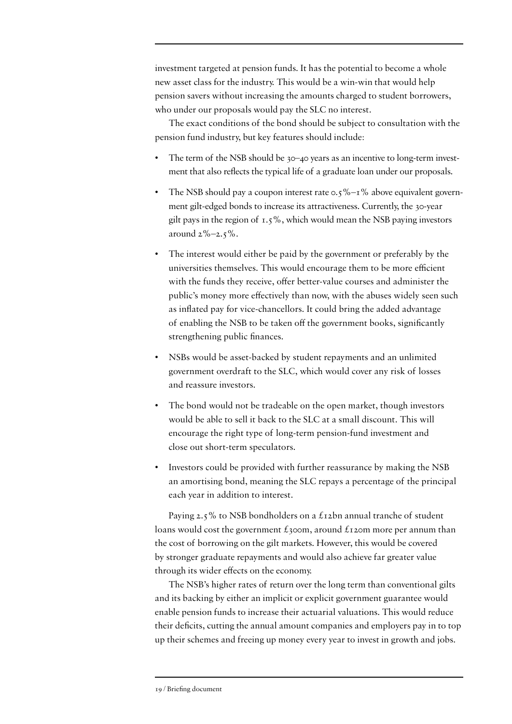investment targeted at pension funds. It has the potential to become a whole new asset class for the industry. This would be a win-win that would help pension savers without increasing the amounts charged to student borrowers, who under our proposals would pay the SLC no interest.

The exact conditions of the bond should be subject to consultation with the pension fund industry, but key features should include:

- The term of the NSB should be 30-40 years as an incentive to long-term investment that also reflects the typical life of a graduate loan under our proposals.
- The NSB should pay a coupon interest rate  $0.5\%$   $1\%$  above equivalent government gilt-edged bonds to increase its attractiveness. Currently, the 30-year gilt pays in the region of  $1.5\%$ , which would mean the NSB paying investors around  $2\% - 2.5\%$ .
- The interest would either be paid by the government or preferably by the universities themselves. This would encourage them to be more efficient with the funds they receive, offer better-value courses and administer the public's money more effectively than now, with the abuses widely seen such as inflated pay for vice-chancellors. It could bring the added advantage of enabling the NSB to be taken off the government books, significantly strengthening public finances.
- NSBs would be asset-backed by student repayments and an unlimited government overdraft to the SLC, which would cover any risk of losses and reassure investors.
- The bond would not be tradeable on the open market, though investors would be able to sell it back to the SLC at a small discount. This will encourage the right type of long-term pension-fund investment and close out short-term speculators.
- Investors could be provided with further reassurance by making the NSB an amortising bond, meaning the SLC repays a percentage of the principal each year in addition to interest.

Paying 2.5% to NSB bondholders on a  $\pounds$ 12bn annual tranche of student loans would cost the government  $\hat{t}$ 300m, around  $\hat{t}$ 120m more per annum than the cost of borrowing on the gilt markets. However, this would be covered by stronger graduate repayments and would also achieve far greater value through its wider effects on the economy.

The NSB's higher rates of return over the long term than conventional gilts and its backing by either an implicit or explicit government guarantee would enable pension funds to increase their actuarial valuations. This would reduce their deficits, cutting the annual amount companies and employers pay in to top up their schemes and freeing up money every year to invest in growth and jobs.

<sup>19 /</sup> Briefing document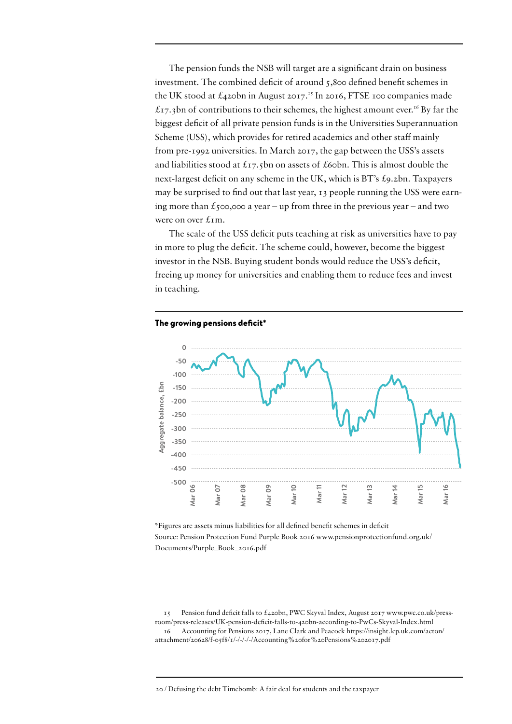The pension funds the NSB will target are a significant drain on business investment. The combined deficit of around 5,800 defined benefit schemes in the UK stood at  $\text{\pounds}_{4}$ 20bn in August 2017.<sup>15</sup> In 2016, FTSE 100 companies made  $£17,3$ bn of contributions to their schemes, the highest amount ever.<sup>16</sup> By far the biggest deficit of all private pension funds is in the Universities Superannuation Scheme (USS), which provides for retired academics and other staff mainly from pre-1992 universities. In March 2017, the gap between the USS's assets and liabilities stood at  $\pounds_{17}$ , show on assets of  $\pounds$ 60bn. This is almost double the next-largest deficit on any scheme in the UK, which is BT's £9.2bn. Taxpayers may be surprised to find out that last year, 13 people running the USS were earning more than  $\epsilon$ <sub>500</sub>,000 a year – up from three in the previous year – and two were on over  $\text{L}$ m.

The scale of the USS deficit puts teaching at risk as universities have to pay in more to plug the deficit. The scheme could, however, become the biggest investor in the NSB. Buying student bonds would reduce the USS's deficit, freeing up money for universities and enabling them to reduce fees and invest in teaching.



The growing pensions deficit\*

\*Figures are assets minus liabilities for all defined benefit schemes in deficit Source: Pension Protection Fund Purple Book 2016 [www.pensionprotectionfund.org.uk/](http://www.pensionprotectionfund.org.uk/Documents/Purple_Book_2016.pdf) [Documents/Purple\\_Book\\_2016.pdf](http://www.pensionprotectionfund.org.uk/Documents/Purple_Book_2016.pdf)

15 Pension fund deficit falls to £420bn, PWC Skyval Index, August 2017 [www.pwc.co.uk/press](http://www.pwc.co.uk/press-room/press-releases/UK-pension-deficit-falls-to-420bn-according-to-PwCs-Skyval-Index.html)[room/press-releases/UK-pension-deficit-falls-to-420bn-according-to-PwCs-Skyval-Index.html](http://www.pwc.co.uk/press-room/press-releases/UK-pension-deficit-falls-to-420bn-according-to-PwCs-Skyval-Index.html) 16 Accounting for Pensions 2017, Lane Clark and Peacock [https://insight.lcp.uk.com/acton/](https://insight.lcp.uk.com/acton/attachment/20628/f-05f8/1/-/-/-/-/Accounting%20for%20Pensions%202017.pdf) [attachment/20628/f-05f8/1/-/-/-/-/Accounting%20for%20Pensions%202017.pdf](https://insight.lcp.uk.com/acton/attachment/20628/f-05f8/1/-/-/-/-/Accounting%20for%20Pensions%202017.pdf)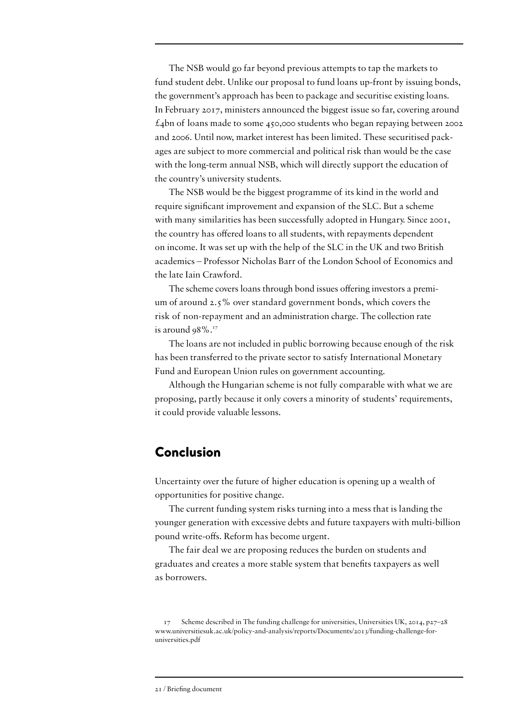The NSB would go far beyond previous attempts to tap the markets to fund student debt. Unlike our proposal to fund loans up-front by issuing bonds, the government's approach has been to package and securitise existing loans. In February 2017, ministers announced the biggest issue so far, covering around  $£4$ bn of loans made to some 450,000 students who began repaying between 2002 and 2006. Until now, market interest has been limited. These securitised packages are subject to more commercial and political risk than would be the case with the long-term annual NSB, which will directly support the education of the country's university students.

The NSB would be the biggest programme of its kind in the world and require significant improvement and expansion of the SLC. But a scheme with many similarities has been successfully adopted in Hungary. Since 2001, the country has offered loans to all students, with repayments dependent on income. It was set up with the help of the SLC in the UK and two British academics – Professor Nicholas Barr of the London School of Economics and the late Iain Crawford.

The scheme covers loans through bond issues offering investors a premium of around 2.5% over standard government bonds, which covers the risk of non-repayment and an administration charge. The collection rate is around  $98\%$ .<sup>17</sup>

The loans are not included in public borrowing because enough of the risk has been transferred to the private sector to satisfy International Monetary Fund and European Union rules on government accounting.

Although the Hungarian scheme is not fully comparable with what we are proposing, partly because it only covers a minority of students' requirements, it could provide valuable lessons.

#### Conclusion

Uncertainty over the future of higher education is opening up a wealth of opportunities for positive change.

The current funding system risks turning into a mess that is landing the younger generation with excessive debts and future taxpayers with multi-billion pound write-offs. Reform has become urgent.

The fair deal we are proposing reduces the burden on students and graduates and creates a more stable system that benefits taxpayers as well as borrowers.

Scheme described in The funding challenge for universities, Universities UK, 2014, p27–28 [www.universitiesuk.ac.uk/policy-and-analysis/reports/Documents/2013/funding-challenge-for](http://www.universitiesuk.ac.uk/policy-and-analysis/reports/Documents/2013/funding-challenge-for-universities.pdf)[universities.pdf](http://www.universitiesuk.ac.uk/policy-and-analysis/reports/Documents/2013/funding-challenge-for-universities.pdf)

<sup>21 /</sup> Briefing document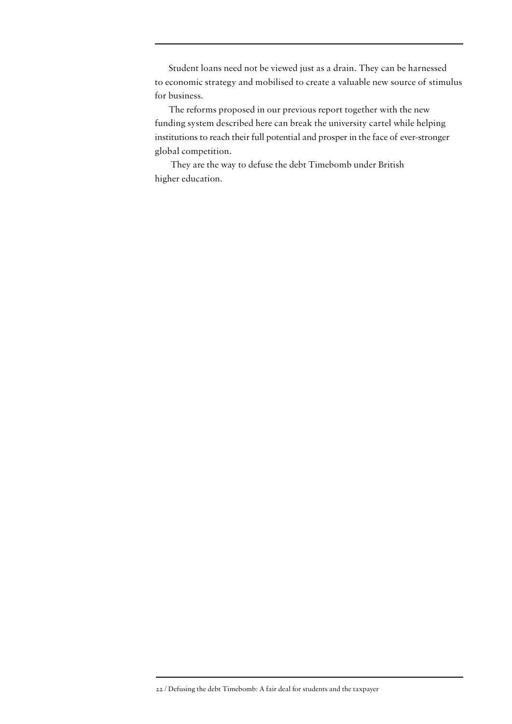Student loans need not be viewed just as a drain. They can be harnessed to economic strategy and mobilised to create a valuable new source of stimulus for business.

The reforms proposed in our previous report together with the new funding system described here can break the university cartel while helping institutions to reach their full potential and prosper in the face of ever-stronger global competition.

 They are the way to defuse the debt Timebomb under British higher education.